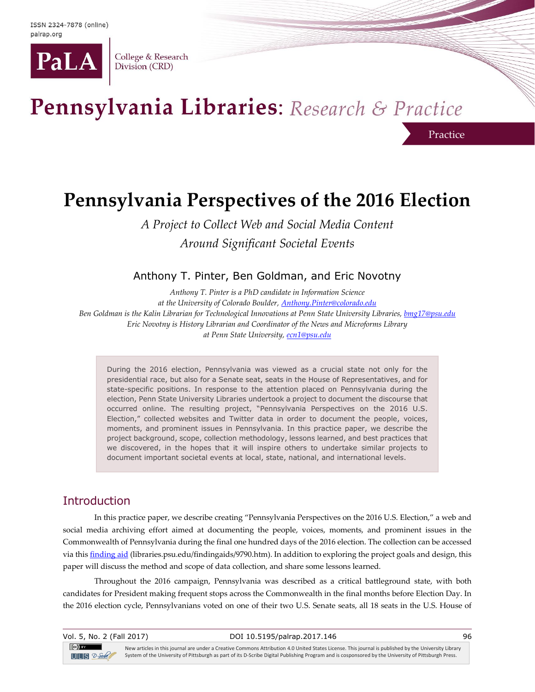

College & Research Division (CRD)

# Pennsylvania Libraries: Research & Practice

## **Pennsylvania Perspectives of the 2016 Election**

Practice

*A Project to Collect Web and Social Media Content Around Significant Societal Events* 

Anthony T. Pinter, Ben Goldman, and Eric Novotny

*Anthony T. Pinter is a PhD candidate in Information Science at the University of Colorado Boulder[, Anthony.Pinter@colorado.edu](mailto:Anthony.Pinter@colorado.edu) Ben Goldman is the Kalin Librarian for Technological Innovations at Penn State University Libraries, [bmg17@psu.edu](mailto:bmg17@psu.edu) Eric Novotny is History Librarian and Coordinator of the News and Microforms Library at Penn State University, [ecn1@psu.edu](mailto:ecn1@psu.edu)*

During the 2016 election, Pennsylvania was viewed as a crucial state not only for the presidential race, but also for a Senate seat, seats in the House of Representatives, and for state-specific positions. In response to the attention placed on Pennsylvania during the election, Penn State University Libraries undertook a project to document the discourse that occurred online. The resulting project, "Pennsylvania Perspectives on the 2016 U.S. Election," collected websites and Twitter data in order to document the people, voices, moments, and prominent issues in Pennsylvania. In this practice paper, we describe the project background, scope, collection methodology, lessons learned, and best practices that we discovered, in the hopes that it will inspire others to undertake similar projects to document important societal events at local, state, national, and international levels.

## Introduction

In this practice paper, we describe creating "Pennsylvania Perspectives on the 2016 U.S. Election," a web and social media archiving effort aimed at documenting the people, voices, moments, and prominent issues in the Commonwealth of Pennsylvania during the final one hundred days of the 2016 election. The collection can be accessed via this [finding aid](https://www.libraries.psu.edu/findingaids/9790.htm) (libraries.psu.edu/findingaids/9790.htm). In addition to exploring the project goals and design, this paper will discuss the method and scope of data collection, and share some lessons learned.

Throughout the 2016 campaign, Pennsylvania was described as a critical battleground state, with both candidates for President making frequent stops across the Commonwealth in the final months before Election Day. In the 2016 election cycle, Pennsylvanians voted on one of their two U.S. Senate seats, all 18 seats in the U.S. House of

| Vol. 5, No. 2 (Fall 2017)                                                                                                                                                                                                                                                                                                                                                                                                                                                                                                                                                                                                                                   | DOI 10.5195/palrap.2017.146                                                                                                                         | 96 |
|-------------------------------------------------------------------------------------------------------------------------------------------------------------------------------------------------------------------------------------------------------------------------------------------------------------------------------------------------------------------------------------------------------------------------------------------------------------------------------------------------------------------------------------------------------------------------------------------------------------------------------------------------------------|-----------------------------------------------------------------------------------------------------------------------------------------------------|----|
| $\left[\left(\mathrm{cc}\right)\right]$ and $\left[\left(\mathrm{cc}\right)\right]$ and $\left[\left(\mathrm{cc}\right)\right]$ and $\left[\left(\mathrm{cc}\right)\right]$ and $\left[\left(\mathrm{cc}\right)\right]$ and $\left[\left(\mathrm{cc}\right)\right]$ and $\left[\left(\mathrm{cc}\right)\right]$ and $\left[\left(\mathrm{cc}\right)\right]$ and $\left[\left(\mathrm{cc}\right)\right]$ and $\left[\left(\mathrm{cc}\right)\right]$ and $\left[\left(\mathrm{cc}\right)\right]$ and<br>New articles in this journal are under a Creative Commons Attribution 4.0 United States License. This journal is published by the University Library |                                                                                                                                                     |    |
| $UIB$ $2$ -Sole                                                                                                                                                                                                                                                                                                                                                                                                                                                                                                                                                                                                                                             | System of the University of Pittsburgh as part of its D-Scribe Digital Publishing Program and is cosponsored by the University of Pittsburgh Press. |    |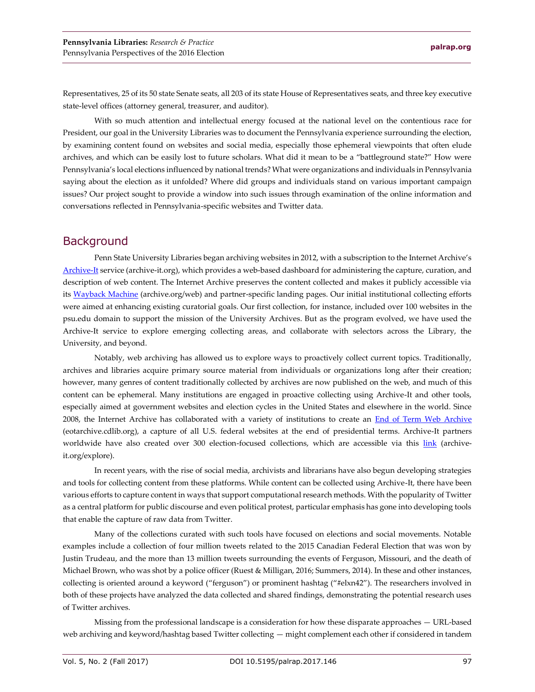Representatives, 25 of its 50 state Senate seats, all 203 of its state House of Representatives seats, and three key executive state-level offices (attorney general, treasurer, and auditor).

With so much attention and intellectual energy focused at the national level on the contentious race for President, our goal in the University Libraries was to document the Pennsylvania experience surrounding the election, by examining content found on websites and social media, especially those ephemeral viewpoints that often elude archives, and which can be easily lost to future scholars. What did it mean to be a "battleground state?" How were Pennsylvania's local elections influenced by national trends? What were organizations and individuals in Pennsylvania saying about the election as it unfolded? Where did groups and individuals stand on various important campaign issues? Our project sought to provide a window into such issues through examination of the online information and conversations reflected in Pennsylvania-specific websites and Twitter data.

### **Background**

Penn State University Libraries began archiving websites in 2012, with a subscription to the Internet Archive's [Archive-It](https://archive-it.org/) service (archive-it.org), which provides a web-based dashboard for administering the capture, curation, and description of web content. The Internet Archive preserves the content collected and makes it publicly accessible via its [Wayback Machine](https://archive.org/web) (archive.org/web) and partner-specific landing pages. Our initial institutional collecting efforts were aimed at enhancing existing curatorial goals. Our first collection, for instance, included over 100 websites in the psu.edu domain to support the mission of the University Archives. But as the program evolved, we have used the Archive-It service to explore emerging collecting areas, and collaborate with selectors across the Library, the University, and beyond.

Notably, web archiving has allowed us to explore ways to proactively collect current topics. Traditionally, archives and libraries acquire primary source material from individuals or organizations long after their creation; however, many genres of content traditionally collected by archives are now published on the web, and much of this content can be ephemeral. Many institutions are engaged in proactive collecting using Archive-It and other tools, especially aimed at government websites and election cycles in the United States and elsewhere in the world. Since 2008, the Internet Archive has collaborated with a variety of institutions to create an [End of Term Web Archive](http://eotarchive.cdlib.org/) (eotarchive.cdlib.org), a capture of all U.S. federal websites at the end of presidential terms. Archive-It partners worldwide have also created over 300 election-focused collections, which are accessible via this [link](https://archive-it.org/explore?q=election&show=Collections) (archiveit.org/explore).

In recent years, with the rise of social media, archivists and librarians have also begun developing strategies and tools for collecting content from these platforms. While content can be collected using Archive-It, there have been various efforts to capture content in ways that support computational research methods. With the popularity of Twitter as a central platform for public discourse and even political protest, particular emphasis has gone into developing tools that enable the capture of raw data from Twitter.

Many of the collections curated with such tools have focused on elections and social movements. Notable examples include a collection of four million tweets related to the 2015 Canadian Federal Election that was won by Justin Trudeau, and the more than 13 million tweets surrounding the events of Ferguson, Missouri, and the death of Michael Brown, who was shot by a police officer (Ruest & Milligan, 2016; Summers, 2014). In these and other instances, collecting is oriented around a keyword ("ferguson") or prominent hashtag ("#elxn42"). The researchers involved in both of these projects have analyzed the data collected and shared findings, demonstrating the potential research uses of Twitter archives.

Missing from the professional landscape is a consideration for how these disparate approaches — URL-based web archiving and keyword/hashtag based Twitter collecting — might complement each other if considered in tandem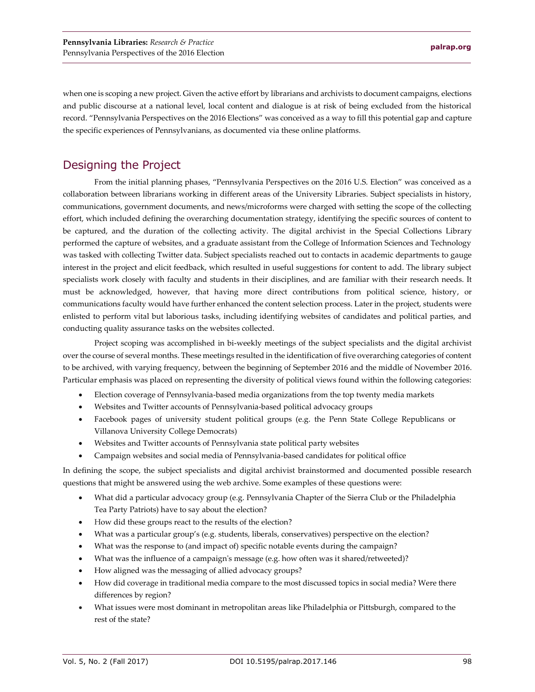when one is scoping a new project. Given the active effort by librarians and archivists to document campaigns, elections and public discourse at a national level, local content and dialogue is at risk of being excluded from the historical record. "Pennsylvania Perspectives on the 2016 Elections" was conceived as a way to fill this potential gap and capture the specific experiences of Pennsylvanians, as documented via these online platforms.

## Designing the Project

From the initial planning phases, "Pennsylvania Perspectives on the 2016 U.S. Election" was conceived as a collaboration between librarians working in different areas of the University Libraries. Subject specialists in history, communications, government documents, and news/microforms were charged with setting the scope of the collecting effort, which included defining the overarching documentation strategy, identifying the specific sources of content to be captured, and the duration of the collecting activity. The digital archivist in the Special Collections Library performed the capture of websites, and a graduate assistant from the College of Information Sciences and Technology was tasked with collecting Twitter data. Subject specialists reached out to contacts in academic departments to gauge interest in the project and elicit feedback, which resulted in useful suggestions for content to add. The library subject specialists work closely with faculty and students in their disciplines, and are familiar with their research needs. It must be acknowledged, however, that having more direct contributions from political science, history, or communications faculty would have further enhanced the content selection process. Later in the project, students were enlisted to perform vital but laborious tasks, including identifying websites of candidates and political parties, and conducting quality assurance tasks on the websites collected.

Project scoping was accomplished in bi-weekly meetings of the subject specialists and the digital archivist over the course of several months. These meetings resulted in the identification of five overarching categories of content to be archived, with varying frequency, between the beginning of September 2016 and the middle of November 2016. Particular emphasis was placed on representing the diversity of political views found within the following categories:

- Election coverage of Pennsylvania-based media organizations from the top twenty media markets
- Websites and Twitter accounts of Pennsylvania-based political advocacy groups
- Facebook pages of university student political groups (e.g. the Penn State College Republicans or Villanova University College Democrats)
- Websites and Twitter accounts of Pennsylvania state political party websites
- Campaign websites and social media of Pennsylvania-based candidates for political office

In defining the scope, the subject specialists and digital archivist brainstormed and documented possible research questions that might be answered using the web archive. Some examples of these questions were:

- What did a particular advocacy group (e.g. Pennsylvania Chapter of the Sierra Club or the Philadelphia Tea Party Patriots) have to say about the election?
- How did these groups react to the results of the election?
- What was a particular group's (e.g. students, liberals, conservatives) perspective on the election?
- What was the response to (and impact of) specific notable events during the campaign?
- What was the influence of a campaign's message (e.g. how often was it shared/retweeted)?
- How aligned was the messaging of allied advocacy groups?
- How did coverage in traditional media compare to the most discussed topics in social media? Were there differences by region?
- What issues were most dominant in metropolitan areas like Philadelphia or Pittsburgh, compared to the rest of the state?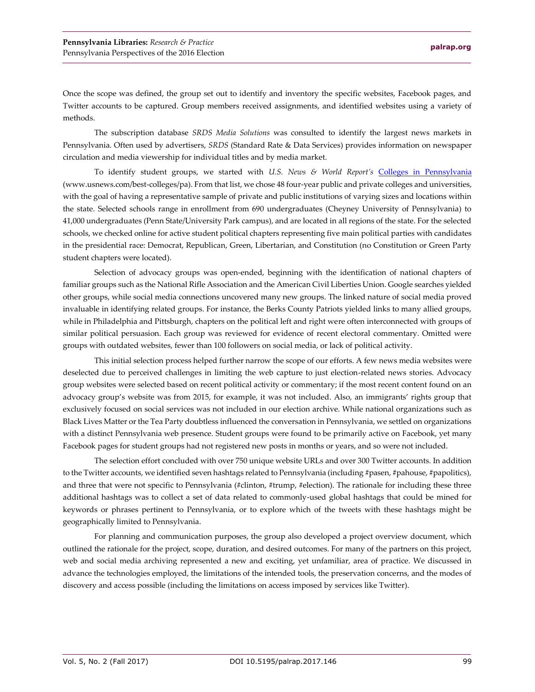Once the scope was defined, the group set out to identify and inventory the specific websites, Facebook pages, and Twitter accounts to be captured. Group members received assignments, and identified websites using a variety of methods.

The subscription database *SRDS Media Solutions* was consulted to identify the largest news markets in Pennsylvania. Often used by advertisers, *SRDS* (Standard Rate & Data Services) provides information on newspaper circulation and media viewership for individual titles and by media market.

To identify student groups, we started with *U.S. News & World Report's* [Colleges in Pennsylvania](https://www.usnews.com/best-colleges/pa) (www.usnews.com/best-colleges/pa). From that list, we chose 48 four-year public and private colleges and universities, with the goal of having a representative sample of private and public institutions of varying sizes and locations within the state. Selected schools range in enrollment from 690 undergraduates (Cheyney University of Pennsylvania) to 41,000 undergraduates (Penn State/University Park campus), and are located in all regions of the state. For the selected schools, we checked online for active student political chapters representing five main political parties with candidates in the presidential race: Democrat, Republican, Green, Libertarian, and Constitution (no Constitution or Green Party student chapters were located).

Selection of advocacy groups was open-ended, beginning with the identification of national chapters of familiar groups such as the National Rifle Association and the American Civil Liberties Union. Google searches yielded other groups, while social media connections uncovered many new groups. The linked nature of social media proved invaluable in identifying related groups. For instance, the Berks County Patriots yielded links to many allied groups, while in Philadelphia and Pittsburgh, chapters on the political left and right were often interconnected with groups of similar political persuasion. Each group was reviewed for evidence of recent electoral commentary. Omitted were groups with outdated websites, fewer than 100 followers on social media, or lack of political activity.

This initial selection process helped further narrow the scope of our efforts. A few news media websites were deselected due to perceived challenges in limiting the web capture to just election-related news stories. Advocacy group websites were selected based on recent political activity or commentary; if the most recent content found on an advocacy group's website was from 2015, for example, it was not included. Also, an immigrants' rights group that exclusively focused on social services was not included in our election archive. While national organizations such as Black Lives Matter or the Tea Party doubtless influenced the conversation in Pennsylvania, we settled on organizations with a distinct Pennsylvania web presence. Student groups were found to be primarily active on Facebook, yet many Facebook pages for student groups had not registered new posts in months or years, and so were not included.

The selection effort concluded with over 750 unique website URLs and over 300 Twitter accounts. In addition to the Twitter accounts, we identified seven hashtags related to Pennsylvania (including #pasen, #pahouse, #papolitics), and three that were not specific to Pennsylvania (#clinton, #trump, #election). The rationale for including these three additional hashtags was to collect a set of data related to commonly-used global hashtags that could be mined for keywords or phrases pertinent to Pennsylvania, or to explore which of the tweets with these hashtags might be geographically limited to Pennsylvania.

For planning and communication purposes, the group also developed a project overview document, which outlined the rationale for the project, scope, duration, and desired outcomes. For many of the partners on this project, web and social media archiving represented a new and exciting, yet unfamiliar, area of practice. We discussed in advance the technologies employed, the limitations of the intended tools, the preservation concerns, and the modes of discovery and access possible (including the limitations on access imposed by services like Twitter).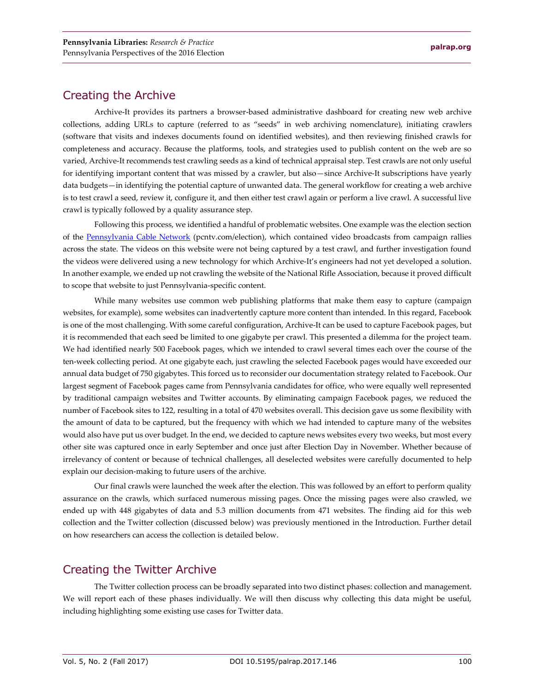## Creating the Archive

Archive-It provides its partners a browser-based administrative dashboard for creating new web archive collections, adding URLs to capture (referred to as "seeds" in web archiving nomenclature), initiating crawlers (software that visits and indexes documents found on identified websites), and then reviewing finished crawls for completeness and accuracy. Because the platforms, tools, and strategies used to publish content on the web are so varied, Archive-It recommends test crawling seeds as a kind of technical appraisal step. Test crawls are not only useful for identifying important content that was missed by a crawler, but also—since Archive-It subscriptions have yearly data budgets—in identifying the potential capture of unwanted data. The general workflow for creating a web archive is to test crawl a seed, review it, configure it, and then either test crawl again or perform a live crawl. A successful live crawl is typically followed by a quality assurance step.

Following this process, we identified a handful of problematic websites. One example was the election section of the [Pennsylvania Cable Network](http://pcntv.com/election) (pcntv.com/election), which contained video broadcasts from campaign rallies across the state. The videos on this website were not being captured by a test crawl, and further investigation found the videos were delivered using a new technology for which Archive-It's engineers had not yet developed a solution. In another example, we ended up not crawling the website of the National Rifle Association, because it proved difficult to scope that website to just Pennsylvania-specific content.

While many websites use common web publishing platforms that make them easy to capture (campaign websites, for example), some websites can inadvertently capture more content than intended. In this regard, Facebook is one of the most challenging. With some careful configuration, Archive-It can be used to capture Facebook pages, but it is recommended that each seed be limited to one gigabyte per crawl. This presented a dilemma for the project team. We had identified nearly 500 Facebook pages, which we intended to crawl several times each over the course of the ten-week collecting period. At one gigabyte each, just crawling the selected Facebook pages would have exceeded our annual data budget of 750 gigabytes. This forced us to reconsider our documentation strategy related to Facebook. Our largest segment of Facebook pages came from Pennsylvania candidates for office, who were equally well represented by traditional campaign websites and Twitter accounts. By eliminating campaign Facebook pages, we reduced the number of Facebook sites to 122, resulting in a total of 470 websites overall. This decision gave us some flexibility with the amount of data to be captured, but the frequency with which we had intended to capture many of the websites would also have put us over budget. In the end, we decided to capture news websites every two weeks, but most every other site was captured once in early September and once just after Election Day in November. Whether because of irrelevancy of content or because of technical challenges, all deselected websites were carefully documented to help explain our decision-making to future users of the archive.

Our final crawls were launched the week after the election. This was followed by an effort to perform quality assurance on the crawls, which surfaced numerous missing pages. Once the missing pages were also crawled, we ended up with 448 gigabytes of data and 5.3 million documents from 471 websites. The finding aid for this web collection and the Twitter collection (discussed below) was previously mentioned in the Introduction. Further detail on how researchers can access the collection is detailed below.

## Creating the Twitter Archive

The Twitter collection process can be broadly separated into two distinct phases: collection and management. We will report each of these phases individually. We will then discuss why collecting this data might be useful, including highlighting some existing use cases for Twitter data.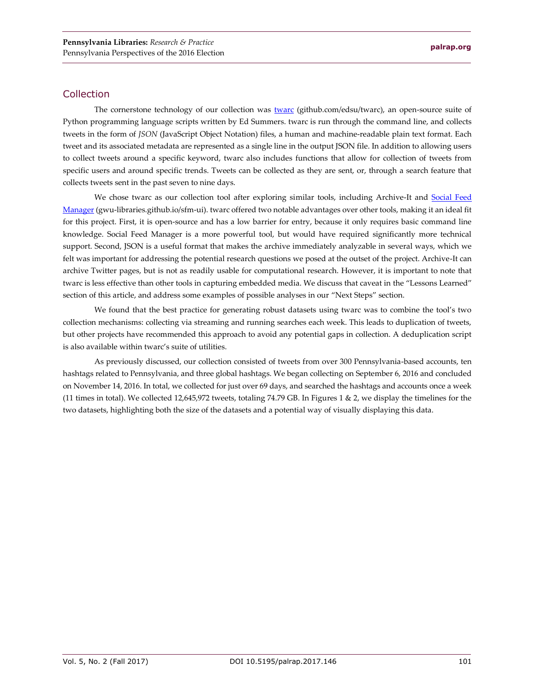#### Collection

The cornerstone technology of our collection was [twarc](https://github.com/edsu/twarc) (github.com/edsu/twarc), an open-source suite of Python programming language scripts written by Ed Summers. twarc is run through the command line, and collects tweets in the form of *JSON* (JavaScript Object Notation) files, a human and machine-readable plain text format. Each tweet and its associated metadata are represented as a single line in the output JSON file. In addition to allowing users to collect tweets around a specific keyword, twarc also includes functions that allow for collection of tweets from specific users and around specific trends. Tweets can be collected as they are sent, or, through a search feature that collects tweets sent in the past seven to nine days.

We chose twarc as our collection tool after exploring similar tools, including Archive-It and Social Feed [Manager](https://gwu-libraries.github.io/sfm-ui/) (gwu-libraries.github.io/sfm-ui). twarc offered two notable advantages over other tools, making it an ideal fit for this project. First, it is open-source and has a low barrier for entry, because it only requires basic command line knowledge. Social Feed Manager is a more powerful tool, but would have required significantly more technical support. Second, JSON is a useful format that makes the archive immediately analyzable in several ways, which we felt was important for addressing the potential research questions we posed at the outset of the project. Archive-It can archive Twitter pages, but is not as readily usable for computational research. However, it is important to note that twarc is less effective than other tools in capturing embedded media. We discuss that caveat in the "Lessons Learned" section of this article, and address some examples of possible analyses in our "Next Steps" section.

We found that the best practice for generating robust datasets using twarc was to combine the tool's two collection mechanisms: collecting via streaming and running searches each week. This leads to duplication of tweets, but other projects have recommended this approach to avoid any potential gaps in collection. A deduplication script is also available within twarc's suite of utilities.

As previously discussed, our collection consisted of tweets from over 300 Pennsylvania-based accounts, ten hashtags related to Pennsylvania, and three global hashtags. We began collecting on September 6, 2016 and concluded on November 14, 2016. In total, we collected for just over 69 days, and searched the hashtags and accounts once a week (11 times in total). We collected 12,645,972 tweets, totaling 74.79 GB. In Figures 1 & 2, we display the timelines for the two datasets, highlighting both the size of the datasets and a potential way of visually displaying this data.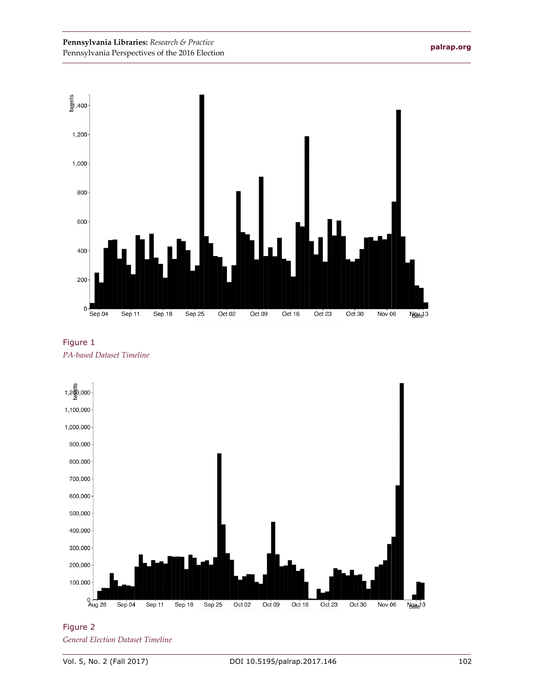





Figure 2 *General Election Dataset Timeline*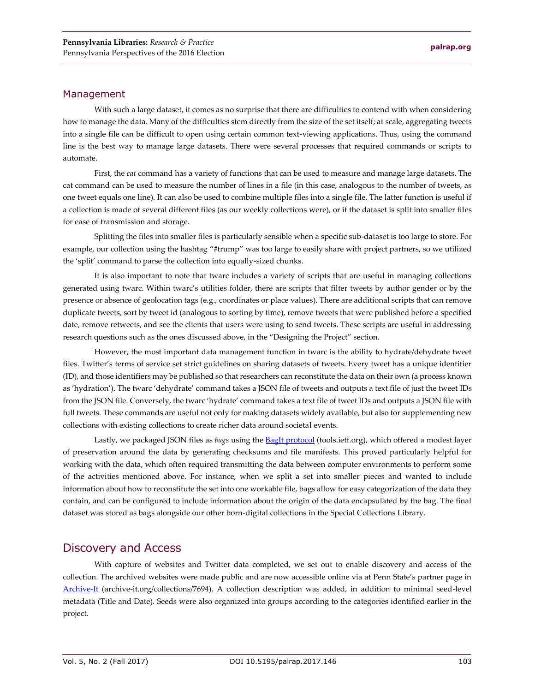#### Management

With such a large dataset, it comes as no surprise that there are difficulties to contend with when considering how to manage the data. Many of the difficulties stem directly from the size of the set itself; at scale, aggregating tweets into a single file can be difficult to open using certain common text-viewing applications. Thus, using the command line is the best way to manage large datasets. There were several processes that required commands or scripts to automate.

First, the *cat* command has a variety of functions that can be used to measure and manage large datasets. The cat command can be used to measure the number of lines in a file (in this case, analogous to the number of tweets, as one tweet equals one line). It can also be used to combine multiple files into a single file. The latter function is useful if a collection is made of several different files (as our weekly collections were), or if the dataset is split into smaller files for ease of transmission and storage.

Splitting the files into smaller files is particularly sensible when a specific sub-dataset is too large to store. For example, our collection using the hashtag "#trump" was too large to easily share with project partners, so we utilized the 'split' command to parse the collection into equally-sized chunks.

It is also important to note that twarc includes a variety of scripts that are useful in managing collections generated using twarc. Within twarc's utilities folder, there are scripts that filter tweets by author gender or by the presence or absence of geolocation tags (e.g., coordinates or place values). There are additional scripts that can remove duplicate tweets, sort by tweet id (analogous to sorting by time), remove tweets that were published before a specified date, remove retweets, and see the clients that users were using to send tweets. These scripts are useful in addressing research questions such as the ones discussed above, in the "Designing the Project" section.

However, the most important data management function in twarc is the ability to hydrate/dehydrate tweet files. Twitter's terms of service set strict guidelines on sharing datasets of tweets. Every tweet has a unique identifier (ID), and those identifiers may be published so that researchers can reconstitute the data on their own (a process known as 'hydration'). The twarc 'dehydrate' command takes a JSON file of tweets and outputs a text file of just the tweet IDs from the JSON file. Conversely, the twarc 'hydrate' command takes a text file of tweet IDs and outputs a JSON file with full tweets. These commands are useful not only for making datasets widely available, but also for supplementing new collections with existing collections to create richer data around societal events.

Lastly, we packaged JSON files as *bags* using the [BagIt protocol](https://tools.ietf.org/html/draft-kunze-bagit-08) (tools.ietf.org), which offered a modest layer of preservation around the data by generating checksums and file manifests. This proved particularly helpful for working with the data, which often required transmitting the data between computer environments to perform some of the activities mentioned above. For instance, when we split a set into smaller pieces and wanted to include information about how to reconstitute the set into one workable file, bags allow for easy categorization of the data they contain, and can be configured to include information about the origin of the data encapsulated by the bag. The final dataset was stored as bags alongside our other born-digital collections in the Special Collections Library.

#### Discovery and Access

With capture of websites and Twitter data completed, we set out to enable discovery and access of the collection. The archived websites were made public and are now accessible online via at Penn State's partner page in [Archive-It](https://archive-it.org/collections/7694) (archive-it.org/collections/7694). A collection description was added, in addition to minimal seed-level metadata (Title and Date). Seeds were also organized into groups according to the categories identified earlier in the project.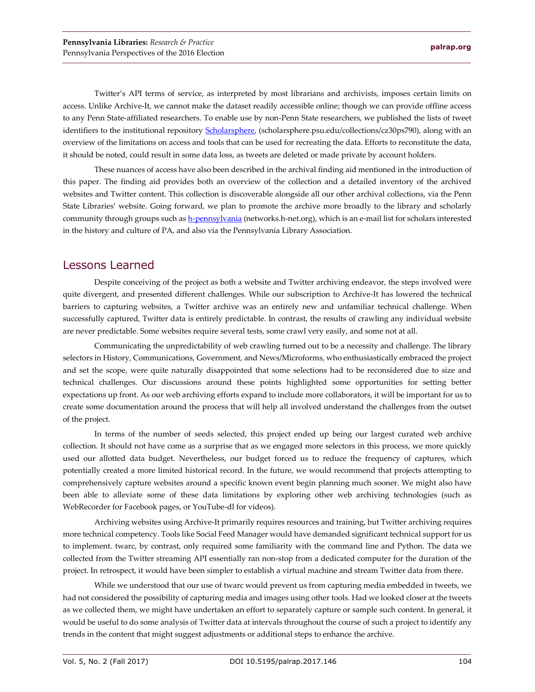Twitter's API terms of service, as interpreted by most librarians and archivists, imposes certain limits on access. Unlike Archive-It, we cannot make the dataset readily accessible online; though we can provide offline access to any Penn State-affiliated researchers. To enable use by non-Penn State researchers, we published the lists of tweet identifiers to the institutional repository [Scholarsphere,](http://scholarsphere.psu.edu/collections/cz30ps790) (scholarsphere.psu.edu/collections/cz30ps790), along with an overview of the limitations on access and tools that can be used for recreating the data. Efforts to reconstitute the data, it should be noted, could result in some data loss, as tweets are deleted or made private by account holders.

These nuances of access have also been described in the archival finding aid mentioned in the introduction of this paper. The finding aid provides both an overview of the collection and a detailed inventory of the archived websites and Twitter content. This collection is discoverable alongside all our other archival collections, via the Penn State Libraries' website. Going forward, we plan to promote the archive more broadly to the library and scholarly community through groups such a[s h-pennsylvania](https://networks.h-net.org/h-pennsylvania) (networks.h-net.org), which is an e-mail list for scholars interested in the history and culture of PA, and also via the Pennsylvania Library Association.

#### Lessons Learned

Despite conceiving of the project as both a website and Twitter archiving endeavor, the steps involved were quite divergent, and presented different challenges. While our subscription to Archive-It has lowered the technical barriers to capturing websites, a Twitter archive was an entirely new and unfamiliar technical challenge. When successfully captured, Twitter data is entirely predictable. In contrast, the results of crawling any individual website are never predictable. Some websites require several tests, some crawl very easily, and some not at all.

Communicating the unpredictability of web crawling turned out to be a necessity and challenge. The library selectors in History, Communications, Government, and News/Microforms, who enthusiastically embraced the project and set the scope, were quite naturally disappointed that some selections had to be reconsidered due to size and technical challenges. Our discussions around these points highlighted some opportunities for setting better expectations up front. As our web archiving efforts expand to include more collaborators, it will be important for us to create some documentation around the process that will help all involved understand the challenges from the outset of the project.

In terms of the number of seeds selected, this project ended up being our largest curated web archive collection. It should not have come as a surprise that as we engaged more selectors in this process, we more quickly used our allotted data budget. Nevertheless, our budget forced us to reduce the frequency of captures, which potentially created a more limited historical record. In the future, we would recommend that projects attempting to comprehensively capture websites around a specific known event begin planning much sooner. We might also have been able to alleviate some of these data limitations by exploring other web archiving technologies (such as WebRecorder for Facebook pages, or YouTube-dl for videos).

Archiving websites using Archive-It primarily requires resources and training, but Twitter archiving requires more technical competency. Tools like Social Feed Manager would have demanded significant technical support for us to implement. twarc, by contrast, only required some familiarity with the command line and Python. The data we collected from the Twitter streaming API essentially ran non-stop from a dedicated computer for the duration of the project. In retrospect, it would have been simpler to establish a virtual machine and stream Twitter data from there.

While we understood that our use of twarc would prevent us from capturing media embedded in tweets, we had not considered the possibility of capturing media and images using other tools. Had we looked closer at the tweets as we collected them, we might have undertaken an effort to separately capture or sample such content. In general, it would be useful to do some analysis of Twitter data at intervals throughout the course of such a project to identify any trends in the content that might suggest adjustments or additional steps to enhance the archive.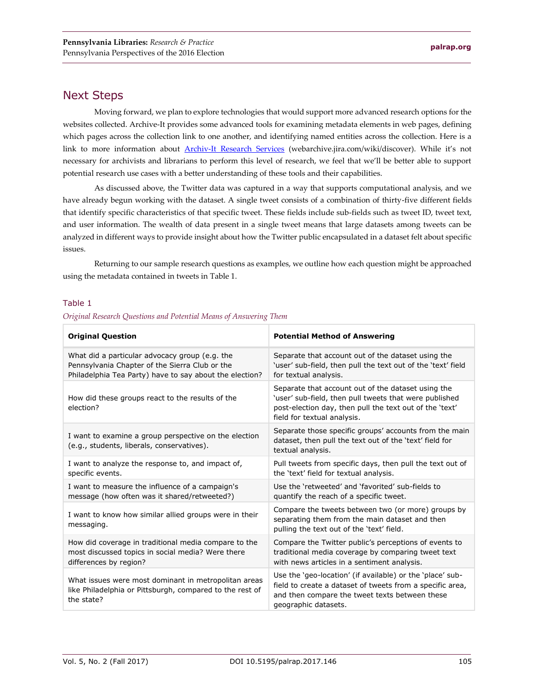## Next Steps

Moving forward, we plan to explore technologies that would support more advanced research options for the websites collected. Archive-It provides some advanced tools for examining metadata elements in web pages, defining which pages across the collection link to one another, and identifying named entities across the collection. Here is a link to more information about [Archiv-It Research Services](https://webarchive.jira.com/wiki/display/ARS/Archive-It+Research+Services) (webarchive.jira.com/wiki/discover). While it's not necessary for archivists and librarians to perform this level of research, we feel that we'll be better able to support potential research use cases with a better understanding of these tools and their capabilities.

As discussed above, the Twitter data was captured in a way that supports computational analysis, and we have already begun working with the dataset. A single tweet consists of a combination of thirty-five different fields that identify specific characteristics of that specific tweet. These fields include sub-fields such as tweet ID, tweet text, and user information. The wealth of data present in a single tweet means that large datasets among tweets can be analyzed in different ways to provide insight about how the Twitter public encapsulated in a dataset felt about specific issues.

Returning to our sample research questions as examples, we outline how each question might be approached using the metadata contained in tweets in Table 1.

#### Table 1

| Original Research Questions and Potential Means of Answering Them |  |  |  |  |
|-------------------------------------------------------------------|--|--|--|--|
|-------------------------------------------------------------------|--|--|--|--|

| <b>Original Question</b>                                                                                                                                    | <b>Potential Method of Answering</b>                                                                                                                                                                   |  |
|-------------------------------------------------------------------------------------------------------------------------------------------------------------|--------------------------------------------------------------------------------------------------------------------------------------------------------------------------------------------------------|--|
| What did a particular advocacy group (e.g. the<br>Pennsylvania Chapter of the Sierra Club or the<br>Philadelphia Tea Party) have to say about the election? | Separate that account out of the dataset using the<br>'user' sub-field, then pull the text out of the 'text' field<br>for textual analysis.                                                            |  |
| How did these groups react to the results of the<br>election?                                                                                               | Separate that account out of the dataset using the<br>'user' sub-field, then pull tweets that were published<br>post-election day, then pull the text out of the 'text'<br>field for textual analysis. |  |
| I want to examine a group perspective on the election<br>(e.g., students, liberals, conservatives).                                                         | Separate those specific groups' accounts from the main<br>dataset, then pull the text out of the 'text' field for<br>textual analysis.                                                                 |  |
| I want to analyze the response to, and impact of,<br>specific events.                                                                                       | Pull tweets from specific days, then pull the text out of<br>the 'text' field for textual analysis.                                                                                                    |  |
| I want to measure the influence of a campaign's<br>message (how often was it shared/retweeted?)                                                             | Use the 'retweeted' and 'favorited' sub-fields to<br>quantify the reach of a specific tweet.                                                                                                           |  |
| I want to know how similar allied groups were in their<br>messaging.                                                                                        | Compare the tweets between two (or more) groups by<br>separating them from the main dataset and then<br>pulling the text out of the 'text' field.                                                      |  |
| How did coverage in traditional media compare to the<br>most discussed topics in social media? Were there<br>differences by region?                         | Compare the Twitter public's perceptions of events to<br>traditional media coverage by comparing tweet text<br>with news articles in a sentiment analysis.                                             |  |
| What issues were most dominant in metropolitan areas<br>like Philadelphia or Pittsburgh, compared to the rest of<br>the state?                              | Use the 'geo-location' (if available) or the 'place' sub-<br>field to create a dataset of tweets from a specific area,<br>and then compare the tweet texts between these<br>geographic datasets.       |  |